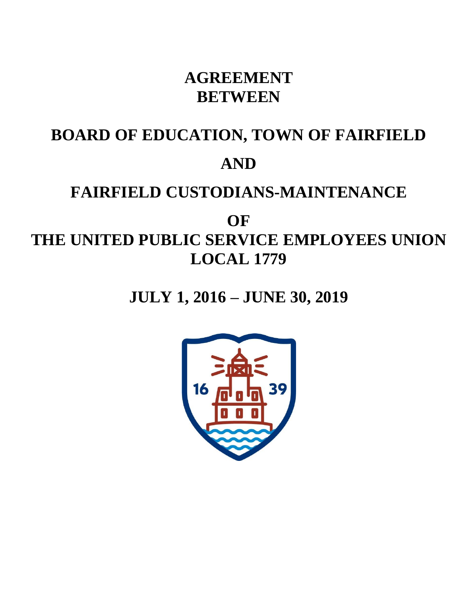## **AGREEMENT BETWEEN**

# **BOARD OF EDUCATION, TOWN OF FAIRFIELD AND**

## **FAIRFIELD CUSTODIANS-MAINTENANCE**

## **OF THE UNITED PUBLIC SERVICE EMPLOYEES UNION LOCAL 1779**

## **JULY 1, 2016 – JUNE 30, 2019**

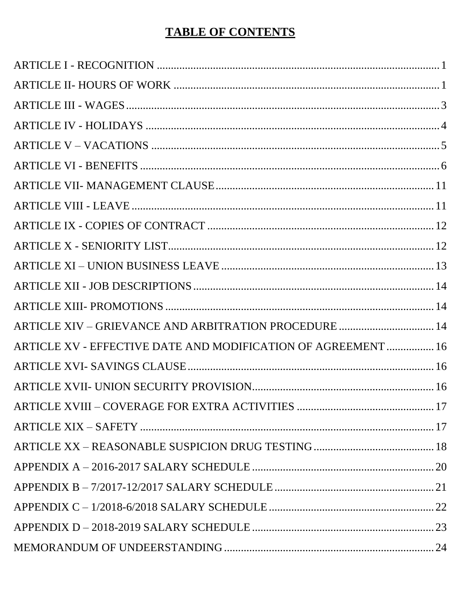## **TABLE OF CONTENTS**

| ARTICLE XIV – GRIEVANCE AND ARBITRATION PROCEDURE  14         |  |
|---------------------------------------------------------------|--|
| ARTICLE XV - EFFECTIVE DATE AND MODIFICATION OF AGREEMENT  16 |  |
|                                                               |  |
|                                                               |  |
|                                                               |  |
|                                                               |  |
|                                                               |  |
|                                                               |  |
|                                                               |  |
|                                                               |  |
|                                                               |  |
|                                                               |  |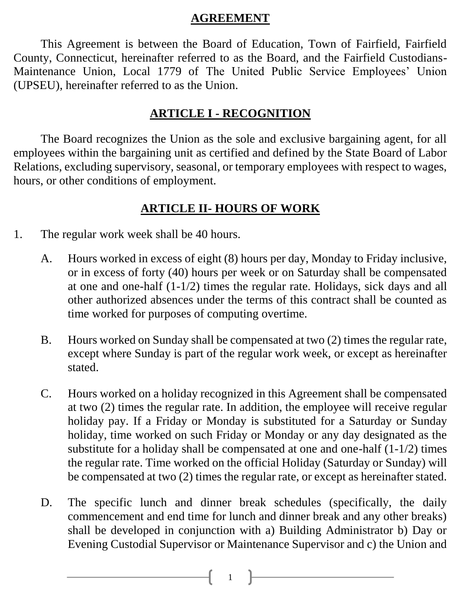#### **AGREEMENT**

This Agreement is between the Board of Education, Town of Fairfield, Fairfield County, Connecticut, hereinafter referred to as the Board, and the Fairfield Custodians-Maintenance Union, Local 1779 of The United Public Service Employees' Union (UPSEU), hereinafter referred to as the Union.

#### **ARTICLE I - RECOGNITION**

The Board recognizes the Union as the sole and exclusive bargaining agent, for all employees within the bargaining unit as certified and defined by the State Board of Labor Relations, excluding supervisory, seasonal, or temporary employees with respect to wages, hours, or other conditions of employment.

### **ARTICLE II- HOURS OF WORK**

- 1. The regular work week shall be 40 hours.
	- A. Hours worked in excess of eight (8) hours per day, Monday to Friday inclusive, or in excess of forty (40) hours per week or on Saturday shall be compensated at one and one-half (1-1/2) times the regular rate. Holidays, sick days and all other authorized absences under the terms of this contract shall be counted as time worked for purposes of computing overtime.
	- B. Hours worked on Sunday shall be compensated at two (2) times the regular rate, except where Sunday is part of the regular work week, or except as hereinafter stated.
	- C. Hours worked on a holiday recognized in this Agreement shall be compensated at two (2) times the regular rate. In addition, the employee will receive regular holiday pay. If a Friday or Monday is substituted for a Saturday or Sunday holiday, time worked on such Friday or Monday or any day designated as the substitute for a holiday shall be compensated at one and one-half (1-1/2) times the regular rate. Time worked on the official Holiday (Saturday or Sunday) will be compensated at two (2) times the regular rate, or except as hereinafter stated.
	- D. The specific lunch and dinner break schedules (specifically, the daily commencement and end time for lunch and dinner break and any other breaks) shall be developed in conjunction with a) Building Administrator b) Day or Evening Custodial Supervisor or Maintenance Supervisor and c) the Union and

 $1 \quad \}$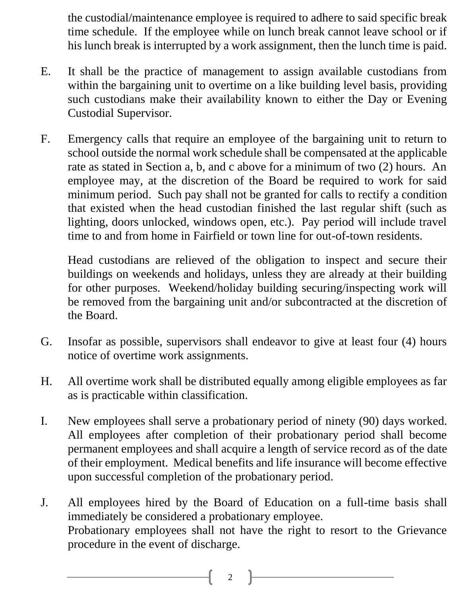the custodial/maintenance employee is required to adhere to said specific break time schedule. If the employee while on lunch break cannot leave school or if his lunch break is interrupted by a work assignment, then the lunch time is paid.

- E. It shall be the practice of management to assign available custodians from within the bargaining unit to overtime on a like building level basis, providing such custodians make their availability known to either the Day or Evening Custodial Supervisor.
- F. Emergency calls that require an employee of the bargaining unit to return to school outside the normal work schedule shall be compensated at the applicable rate as stated in Section a, b, and c above for a minimum of two (2) hours. An employee may, at the discretion of the Board be required to work for said minimum period. Such pay shall not be granted for calls to rectify a condition that existed when the head custodian finished the last regular shift (such as lighting, doors unlocked, windows open, etc.). Pay period will include travel time to and from home in Fairfield or town line for out-of-town residents.

Head custodians are relieved of the obligation to inspect and secure their buildings on weekends and holidays, unless they are already at their building for other purposes. Weekend/holiday building securing/inspecting work will be removed from the bargaining unit and/or subcontracted at the discretion of the Board.

- G. Insofar as possible, supervisors shall endeavor to give at least four (4) hours notice of overtime work assignments.
- H. All overtime work shall be distributed equally among eligible employees as far as is practicable within classification.
- I. New employees shall serve a probationary period of ninety (90) days worked. All employees after completion of their probationary period shall become permanent employees and shall acquire a length of service record as of the date of their employment. Medical benefits and life insurance will become effective upon successful completion of the probationary period.
- J. All employees hired by the Board of Education on a full-time basis shall immediately be considered a probationary employee. Probationary employees shall not have the right to resort to the Grievance procedure in the event of discharge.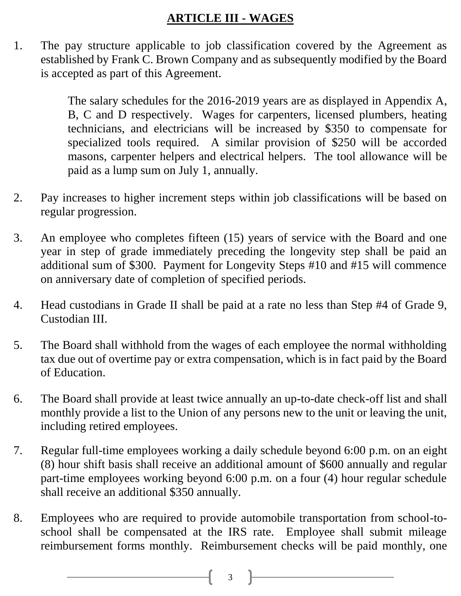## **ARTICLE III - WAGES**

1. The pay structure applicable to job classification covered by the Agreement as established by Frank C. Brown Company and as subsequently modified by the Board is accepted as part of this Agreement.

> The salary schedules for the 2016-2019 years are as displayed in Appendix A, B, C and D respectively. Wages for carpenters, licensed plumbers, heating technicians, and electricians will be increased by \$350 to compensate for specialized tools required. A similar provision of \$250 will be accorded masons, carpenter helpers and electrical helpers. The tool allowance will be paid as a lump sum on July 1, annually.

- 2. Pay increases to higher increment steps within job classifications will be based on regular progression.
- 3. An employee who completes fifteen (15) years of service with the Board and one year in step of grade immediately preceding the longevity step shall be paid an additional sum of \$300. Payment for Longevity Steps #10 and #15 will commence on anniversary date of completion of specified periods.
- 4. Head custodians in Grade II shall be paid at a rate no less than Step #4 of Grade 9, Custodian III.
- 5. The Board shall withhold from the wages of each employee the normal withholding tax due out of overtime pay or extra compensation, which is in fact paid by the Board of Education.
- 6. The Board shall provide at least twice annually an up-to-date check-off list and shall monthly provide a list to the Union of any persons new to the unit or leaving the unit, including retired employees.
- 7. Regular full-time employees working a daily schedule beyond 6:00 p.m. on an eight (8) hour shift basis shall receive an additional amount of \$600 annually and regular part-time employees working beyond 6:00 p.m. on a four (4) hour regular schedule shall receive an additional \$350 annually.
- 8. Employees who are required to provide automobile transportation from school-toschool shall be compensated at the IRS rate. Employee shall submit mileage reimbursement forms monthly. Reimbursement checks will be paid monthly, one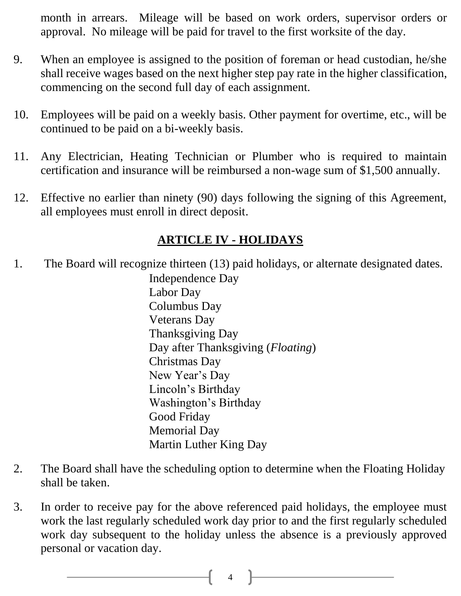month in arrears. Mileage will be based on work orders, supervisor orders or approval. No mileage will be paid for travel to the first worksite of the day.

- 9. When an employee is assigned to the position of foreman or head custodian, he/she shall receive wages based on the next higher step pay rate in the higher classification, commencing on the second full day of each assignment.
- 10. Employees will be paid on a weekly basis. Other payment for overtime, etc., will be continued to be paid on a bi-weekly basis.
- 11. Any Electrician, Heating Technician or Plumber who is required to maintain certification and insurance will be reimbursed a non-wage sum of \$1,500 annually.
- 12. Effective no earlier than ninety (90) days following the signing of this Agreement, all employees must enroll in direct deposit.

### **ARTICLE IV - HOLIDAYS**

1. The Board will recognize thirteen (13) paid holidays, or alternate designated dates.

Independence Day Labor Day Columbus Day Veterans Day Thanksgiving Day Day after Thanksgiving (*Floating*) Christmas Day New Year's Day Lincoln's Birthday Washington's Birthday Good Friday Memorial Day Martin Luther King Day

- 2. The Board shall have the scheduling option to determine when the Floating Holiday shall be taken.
- 3. In order to receive pay for the above referenced paid holidays, the employee must work the last regularly scheduled work day prior to and the first regularly scheduled work day subsequent to the holiday unless the absence is a previously approved personal or vacation day.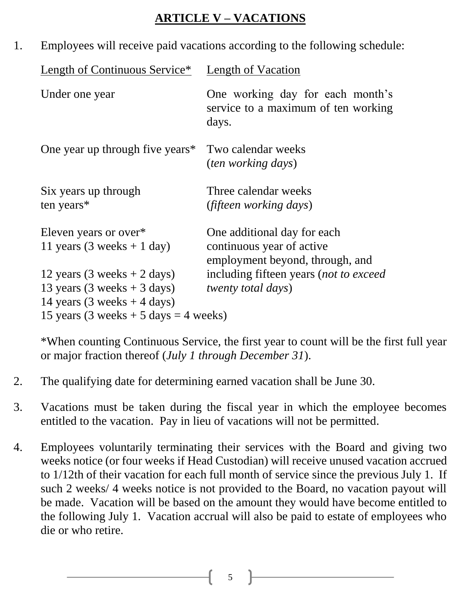### **ARTICLE V – VACATIONS**

1. Employees will receive paid vacations according to the following schedule:

| Length of Continuous Service*                                                          | Length of Vacation                                                                          |
|----------------------------------------------------------------------------------------|---------------------------------------------------------------------------------------------|
| Under one year                                                                         | One working day for each month's<br>service to a maximum of ten working<br>days.            |
| One year up through five years*                                                        | Two calendar weeks<br><i>(ten working days)</i>                                             |
| Six years up through<br>ten years*                                                     | Three calendar weeks<br><i>(fifteen working days)</i>                                       |
| Eleven years or over*<br>11 years (3 weeks + 1 day)                                    | One additional day for each<br>continuous year of active<br>employment beyond, through, and |
| 12 years (3 weeks $+ 2$ days)<br>13 years (3 weeks $+$ 3 days)                         | including fifteen years (not to exceed<br><i>twenty total days)</i>                         |
| 14 years $(3 \text{ weeks} + 4 \text{ days})$<br>15 years (3 weeks + 5 days = 4 weeks) |                                                                                             |

\*When counting Continuous Service, the first year to count will be the first full year or major fraction thereof (*July 1 through December 31*).

- 2. The qualifying date for determining earned vacation shall be June 30.
- 3. Vacations must be taken during the fiscal year in which the employee becomes entitled to the vacation. Pay in lieu of vacations will not be permitted.
- 4. Employees voluntarily terminating their services with the Board and giving two weeks notice (or four weeks if Head Custodian) will receive unused vacation accrued to 1/12th of their vacation for each full month of service since the previous July 1. If such 2 weeks/ 4 weeks notice is not provided to the Board, no vacation payout will be made. Vacation will be based on the amount they would have become entitled to the following July 1. Vacation accrual will also be paid to estate of employees who die or who retire.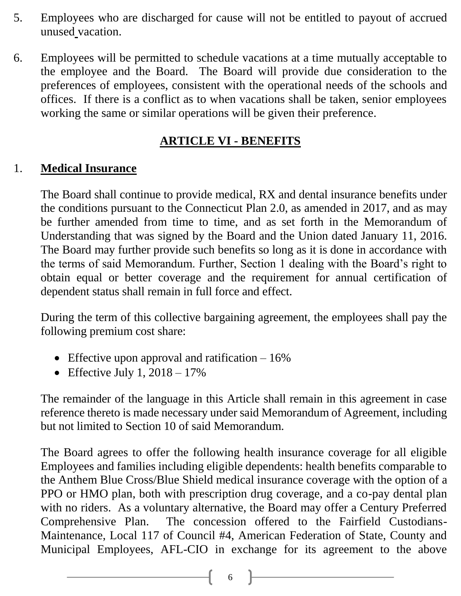- 5. Employees who are discharged for cause will not be entitled to payout of accrued unused vacation.
- 6. Employees will be permitted to schedule vacations at a time mutually acceptable to the employee and the Board. The Board will provide due consideration to the preferences of employees, consistent with the operational needs of the schools and offices. If there is a conflict as to when vacations shall be taken, senior employees working the same or similar operations will be given their preference.

## **ARTICLE VI - BENEFITS**

### 1. **Medical Insurance**

The Board shall continue to provide medical, RX and dental insurance benefits under the conditions pursuant to the Connecticut Plan 2.0, as amended in 2017, and as may be further amended from time to time, and as set forth in the Memorandum of Understanding that was signed by the Board and the Union dated January 11, 2016. The Board may further provide such benefits so long as it is done in accordance with the terms of said Memorandum. Further, Section 1 dealing with the Board's right to obtain equal or better coverage and the requirement for annual certification of dependent status shall remain in full force and effect.

During the term of this collective bargaining agreement, the employees shall pay the following premium cost share:

- Effective upon approval and ratification  $-16\%$
- Effective July 1,  $2018 17\%$

The remainder of the language in this Article shall remain in this agreement in case reference thereto is made necessary under said Memorandum of Agreement, including but not limited to Section 10 of said Memorandum.

The Board agrees to offer the following health insurance coverage for all eligible Employees and families including eligible dependents: health benefits comparable to the Anthem Blue Cross/Blue Shield medical insurance coverage with the option of a PPO or HMO plan, both with prescription drug coverage, and a co-pay dental plan with no riders. As a voluntary alternative, the Board may offer a Century Preferred Comprehensive Plan. The concession offered to the Fairfield Custodians-Maintenance, Local 117 of Council #4, American Federation of State, County and Municipal Employees, AFL-CIO in exchange for its agreement to the above

 $6 \quad \vert$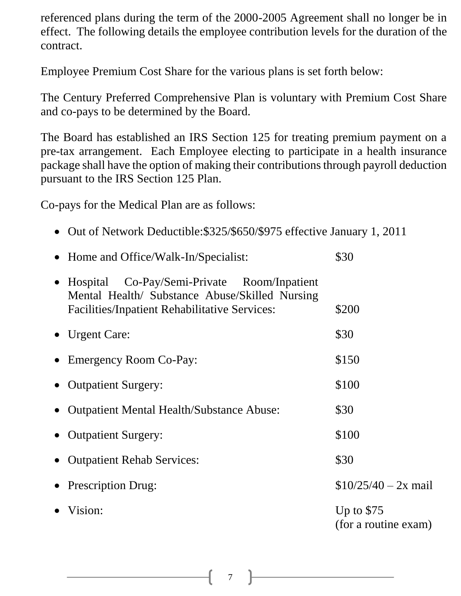referenced plans during the term of the 2000-2005 Agreement shall no longer be in effect. The following details the employee contribution levels for the duration of the contract.

Employee Premium Cost Share for the various plans is set forth below:

The Century Preferred Comprehensive Plan is voluntary with Premium Cost Share and co-pays to be determined by the Board.

The Board has established an IRS Section 125 for treating premium payment on a pre-tax arrangement. Each Employee electing to participate in a health insurance package shall have the option of making their contributions through payroll deduction pursuant to the IRS Section 125 Plan.

Co-pays for the Medical Plan are as follows:

• Out of Network Deductible: \$325/\$650/\$975 effective January 1, 2011

| • Home and Office/Walk-In/Specialist:                                                                                                                   | \$30                                |
|---------------------------------------------------------------------------------------------------------------------------------------------------------|-------------------------------------|
| • Hospital Co-Pay/Semi-Private Room/Inpatient<br>Mental Health/ Substance Abuse/Skilled Nursing<br><b>Facilities/Inpatient Rehabilitative Services:</b> | \$200                               |
| $\bullet$ Urgent Care:                                                                                                                                  | \$30                                |
| • Emergency Room Co-Pay:                                                                                                                                | \$150                               |
| • Outpatient Surgery:                                                                                                                                   | \$100                               |
| • Outpatient Mental Health/Substance Abuse:                                                                                                             | \$30                                |
| • Outpatient Surgery:                                                                                                                                   | \$100                               |
| • Outpatient Rehab Services:                                                                                                                            | \$30                                |
| • Prescription Drug:                                                                                                                                    | $$10/25/40 - 2x$ mail               |
| Vision:                                                                                                                                                 | Up to $$75$<br>(for a routine exam) |
|                                                                                                                                                         |                                     |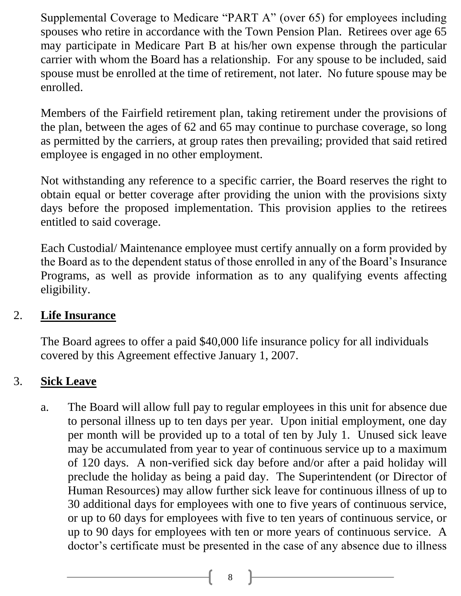Supplemental Coverage to Medicare "PART A" (over 65) for employees including spouses who retire in accordance with the Town Pension Plan. Retirees over age 65 may participate in Medicare Part B at his/her own expense through the particular carrier with whom the Board has a relationship. For any spouse to be included, said spouse must be enrolled at the time of retirement, not later. No future spouse may be enrolled.

Members of the Fairfield retirement plan, taking retirement under the provisions of the plan, between the ages of 62 and 65 may continue to purchase coverage, so long as permitted by the carriers, at group rates then prevailing; provided that said retired employee is engaged in no other employment.

Not withstanding any reference to a specific carrier, the Board reserves the right to obtain equal or better coverage after providing the union with the provisions sixty days before the proposed implementation. This provision applies to the retirees entitled to said coverage.

Each Custodial/ Maintenance employee must certify annually on a form provided by the Board as to the dependent status of those enrolled in any of the Board's Insurance Programs, as well as provide information as to any qualifying events affecting eligibility.

### 2. **Life Insurance**

The Board agrees to offer a paid \$40,000 life insurance policy for all individuals covered by this Agreement effective January 1, 2007.

## 3. **Sick Leave**

a. The Board will allow full pay to regular employees in this unit for absence due to personal illness up to ten days per year. Upon initial employment, one day per month will be provided up to a total of ten by July 1. Unused sick leave may be accumulated from year to year of continuous service up to a maximum of 120 days. A non-verified sick day before and/or after a paid holiday will preclude the holiday as being a paid day. The Superintendent (or Director of Human Resources) may allow further sick leave for continuous illness of up to 30 additional days for employees with one to five years of continuous service, or up to 60 days for employees with five to ten years of continuous service, or up to 90 days for employees with ten or more years of continuous service. A doctor's certificate must be presented in the case of any absence due to illness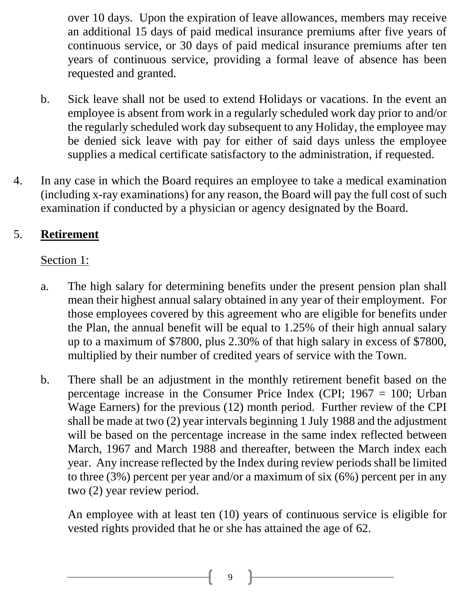over 10 days. Upon the expiration of leave allowances, members may receive an additional 15 days of paid medical insurance premiums after five years of continuous service, or 30 days of paid medical insurance premiums after ten years of continuous service, providing a formal leave of absence has been requested and granted.

- b. Sick leave shall not be used to extend Holidays or vacations. In the event an employee is absent from work in a regularly scheduled work day prior to and/or the regularly scheduled work day subsequent to any Holiday, the employee may be denied sick leave with pay for either of said days unless the employee supplies a medical certificate satisfactory to the administration, if requested.
- 4. In any case in which the Board requires an employee to take a medical examination (including x-ray examinations) for any reason, the Board will pay the full cost of such examination if conducted by a physician or agency designated by the Board.

## 5. **Retirement**

#### Section 1:

- a. The high salary for determining benefits under the present pension plan shall mean their highest annual salary obtained in any year of their employment. For those employees covered by this agreement who are eligible for benefits under the Plan, the annual benefit will be equal to 1.25% of their high annual salary up to a maximum of \$7800, plus 2.30% of that high salary in excess of \$7800, multiplied by their number of credited years of service with the Town.
- b. There shall be an adjustment in the monthly retirement benefit based on the percentage increase in the Consumer Price Index (CPI; 1967 = 100; Urban Wage Earners) for the previous (12) month period. Further review of the CPI shall be made at two (2) year intervals beginning 1 July 1988 and the adjustment will be based on the percentage increase in the same index reflected between March, 1967 and March 1988 and thereafter, between the March index each year. Any increase reflected by the Index during review periods shall be limited to three (3%) percent per year and/or a maximum of six (6%) percent per in any two (2) year review period.

An employee with at least ten (10) years of continuous service is eligible for vested rights provided that he or she has attained the age of 62.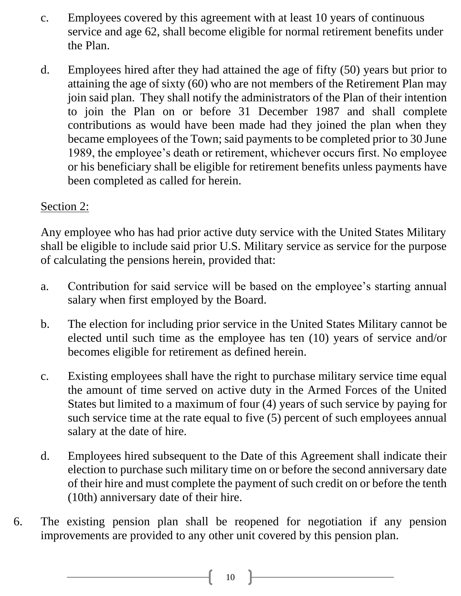- c. Employees covered by this agreement with at least 10 years of continuous service and age 62, shall become eligible for normal retirement benefits under the Plan.
- d. Employees hired after they had attained the age of fifty (50) years but prior to attaining the age of sixty (60) who are not members of the Retirement Plan may join said plan. They shall notify the administrators of the Plan of their intention to join the Plan on or before 31 December 1987 and shall complete contributions as would have been made had they joined the plan when they became employees of the Town; said payments to be completed prior to 30 June 1989, the employee's death or retirement, whichever occurs first. No employee or his beneficiary shall be eligible for retirement benefits unless payments have been completed as called for herein.

#### Section 2:

Any employee who has had prior active duty service with the United States Military shall be eligible to include said prior U.S. Military service as service for the purpose of calculating the pensions herein, provided that:

- a. Contribution for said service will be based on the employee's starting annual salary when first employed by the Board.
- b. The election for including prior service in the United States Military cannot be elected until such time as the employee has ten (10) years of service and/or becomes eligible for retirement as defined herein.
- c. Existing employees shall have the right to purchase military service time equal the amount of time served on active duty in the Armed Forces of the United States but limited to a maximum of four (4) years of such service by paying for such service time at the rate equal to five (5) percent of such employees annual salary at the date of hire.
- d. Employees hired subsequent to the Date of this Agreement shall indicate their election to purchase such military time on or before the second anniversary date of their hire and must complete the payment of such credit on or before the tenth (10th) anniversary date of their hire.
- 6. The existing pension plan shall be reopened for negotiation if any pension improvements are provided to any other unit covered by this pension plan.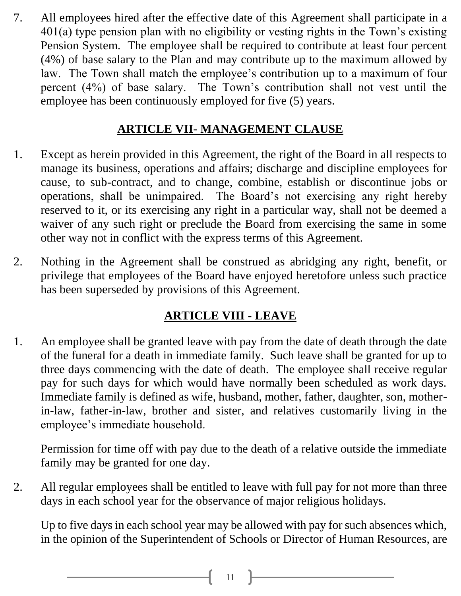7. All employees hired after the effective date of this Agreement shall participate in a 401(a) type pension plan with no eligibility or vesting rights in the Town's existing Pension System. The employee shall be required to contribute at least four percent (4%) of base salary to the Plan and may contribute up to the maximum allowed by law. The Town shall match the employee's contribution up to a maximum of four percent (4%) of base salary. The Town's contribution shall not vest until the employee has been continuously employed for five (5) years.

## **ARTICLE VII- MANAGEMENT CLAUSE**

- 1. Except as herein provided in this Agreement, the right of the Board in all respects to manage its business, operations and affairs; discharge and discipline employees for cause, to sub-contract, and to change, combine, establish or discontinue jobs or operations, shall be unimpaired. The Board's not exercising any right hereby reserved to it, or its exercising any right in a particular way, shall not be deemed a waiver of any such right or preclude the Board from exercising the same in some other way not in conflict with the express terms of this Agreement.
- 2. Nothing in the Agreement shall be construed as abridging any right, benefit, or privilege that employees of the Board have enjoyed heretofore unless such practice has been superseded by provisions of this Agreement.

## **ARTICLE VIII - LEAVE**

1. An employee shall be granted leave with pay from the date of death through the date of the funeral for a death in immediate family. Such leave shall be granted for up to three days commencing with the date of death. The employee shall receive regular pay for such days for which would have normally been scheduled as work days. Immediate family is defined as wife, husband, mother, father, daughter, son, motherin-law, father-in-law, brother and sister, and relatives customarily living in the employee's immediate household.

Permission for time off with pay due to the death of a relative outside the immediate family may be granted for one day.

2. All regular employees shall be entitled to leave with full pay for not more than three days in each school year for the observance of major religious holidays.

Up to five days in each school year may be allowed with pay for such absences which, in the opinion of the Superintendent of Schools or Director of Human Resources, are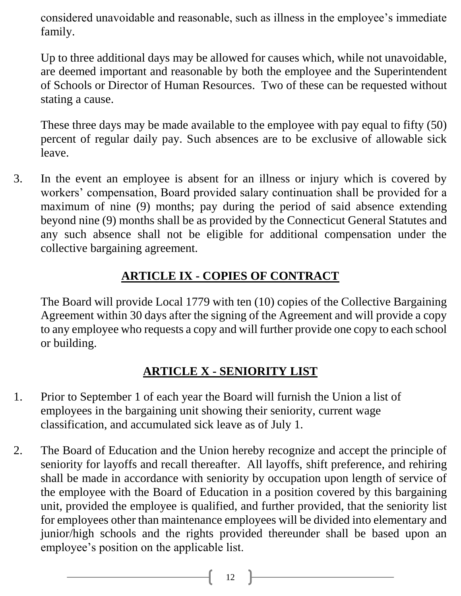considered unavoidable and reasonable, such as illness in the employee's immediate family.

Up to three additional days may be allowed for causes which, while not unavoidable, are deemed important and reasonable by both the employee and the Superintendent of Schools or Director of Human Resources. Two of these can be requested without stating a cause.

These three days may be made available to the employee with pay equal to fifty (50) percent of regular daily pay. Such absences are to be exclusive of allowable sick leave.

3. In the event an employee is absent for an illness or injury which is covered by workers' compensation, Board provided salary continuation shall be provided for a maximum of nine (9) months; pay during the period of said absence extending beyond nine (9) months shall be as provided by the Connecticut General Statutes and any such absence shall not be eligible for additional compensation under the collective bargaining agreement.

## **ARTICLE IX - COPIES OF CONTRACT**

The Board will provide Local 1779 with ten (10) copies of the Collective Bargaining Agreement within 30 days after the signing of the Agreement and will provide a copy to any employee who requests a copy and will further provide one copy to each school or building.

## **ARTICLE X - SENIORITY LIST**

- 1. Prior to September 1 of each year the Board will furnish the Union a list of employees in the bargaining unit showing their seniority, current wage classification, and accumulated sick leave as of July 1.
- 2. The Board of Education and the Union hereby recognize and accept the principle of seniority for layoffs and recall thereafter. All layoffs, shift preference, and rehiring shall be made in accordance with seniority by occupation upon length of service of the employee with the Board of Education in a position covered by this bargaining unit, provided the employee is qualified, and further provided, that the seniority list for employees other than maintenance employees will be divided into elementary and junior/high schools and the rights provided thereunder shall be based upon an employee's position on the applicable list.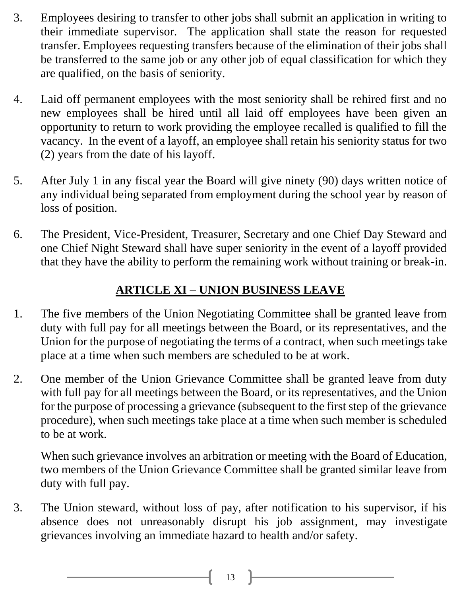- 3. Employees desiring to transfer to other jobs shall submit an application in writing to their immediate supervisor. The application shall state the reason for requested transfer. Employees requesting transfers because of the elimination of their jobs shall be transferred to the same job or any other job of equal classification for which they are qualified, on the basis of seniority.
- 4. Laid off permanent employees with the most seniority shall be rehired first and no new employees shall be hired until all laid off employees have been given an opportunity to return to work providing the employee recalled is qualified to fill the vacancy. In the event of a layoff, an employee shall retain his seniority status for two (2) years from the date of his layoff.
- 5. After July 1 in any fiscal year the Board will give ninety (90) days written notice of any individual being separated from employment during the school year by reason of loss of position.
- 6. The President, Vice-President, Treasurer, Secretary and one Chief Day Steward and one Chief Night Steward shall have super seniority in the event of a layoff provided that they have the ability to perform the remaining work without training or break-in.

## **ARTICLE XI – UNION BUSINESS LEAVE**

- 1. The five members of the Union Negotiating Committee shall be granted leave from duty with full pay for all meetings between the Board, or its representatives, and the Union for the purpose of negotiating the terms of a contract, when such meetings take place at a time when such members are scheduled to be at work.
- 2. One member of the Union Grievance Committee shall be granted leave from duty with full pay for all meetings between the Board, or its representatives, and the Union for the purpose of processing a grievance (subsequent to the first step of the grievance procedure), when such meetings take place at a time when such member is scheduled to be at work.

When such grievance involves an arbitration or meeting with the Board of Education, two members of the Union Grievance Committee shall be granted similar leave from duty with full pay.

3. The Union steward, without loss of pay, after notification to his supervisor, if his absence does not unreasonably disrupt his job assignment, may investigate grievances involving an immediate hazard to health and/or safety.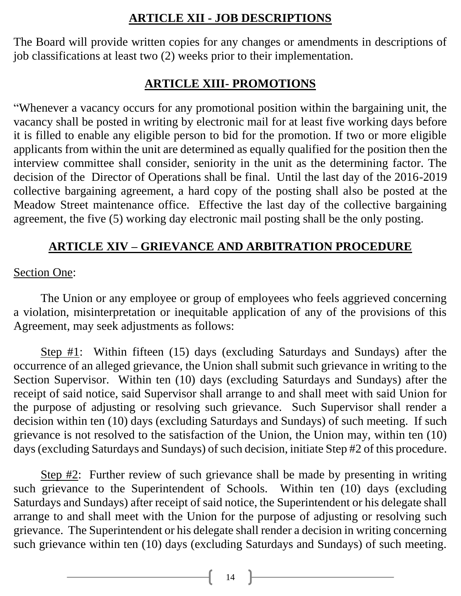#### **ARTICLE XII - JOB DESCRIPTIONS**

The Board will provide written copies for any changes or amendments in descriptions of job classifications at least two (2) weeks prior to their implementation.

#### **ARTICLE XIII- PROMOTIONS**

"Whenever a vacancy occurs for any promotional position within the bargaining unit, the vacancy shall be posted in writing by electronic mail for at least five working days before it is filled to enable any eligible person to bid for the promotion. If two or more eligible applicants from within the unit are determined as equally qualified for the position then the interview committee shall consider, seniority in the unit as the determining factor. The decision of the Director of Operations shall be final. Until the last day of the 2016-2019 collective bargaining agreement, a hard copy of the posting shall also be posted at the Meadow Street maintenance office. Effective the last day of the collective bargaining agreement, the five (5) working day electronic mail posting shall be the only posting.

### **ARTICLE XIV – GRIEVANCE AND ARBITRATION PROCEDURE**

#### Section One:

The Union or any employee or group of employees who feels aggrieved concerning a violation, misinterpretation or inequitable application of any of the provisions of this Agreement, may seek adjustments as follows:

Step #1: Within fifteen (15) days (excluding Saturdays and Sundays) after the occurrence of an alleged grievance, the Union shall submit such grievance in writing to the Section Supervisor. Within ten (10) days (excluding Saturdays and Sundays) after the receipt of said notice, said Supervisor shall arrange to and shall meet with said Union for the purpose of adjusting or resolving such grievance. Such Supervisor shall render a decision within ten (10) days (excluding Saturdays and Sundays) of such meeting. If such grievance is not resolved to the satisfaction of the Union, the Union may, within ten (10) days (excluding Saturdays and Sundays) of such decision, initiate Step #2 of this procedure.

Step #2: Further review of such grievance shall be made by presenting in writing such grievance to the Superintendent of Schools. Within ten (10) days (excluding Saturdays and Sundays) after receipt of said notice, the Superintendent or his delegate shall arrange to and shall meet with the Union for the purpose of adjusting or resolving such grievance. The Superintendent or his delegate shall render a decision in writing concerning such grievance within ten (10) days (excluding Saturdays and Sundays) of such meeting.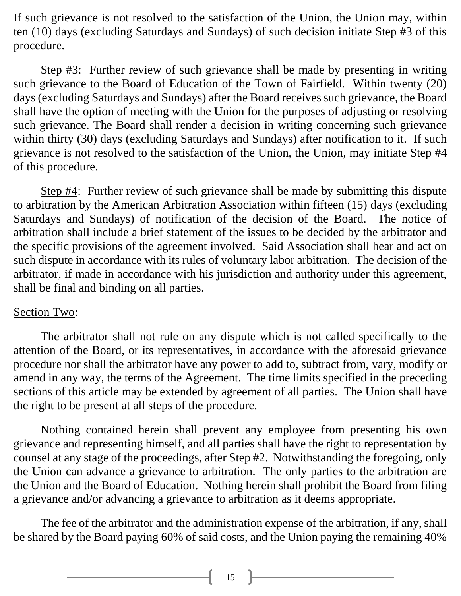If such grievance is not resolved to the satisfaction of the Union, the Union may, within ten (10) days (excluding Saturdays and Sundays) of such decision initiate Step #3 of this procedure.

Step #3: Further review of such grievance shall be made by presenting in writing such grievance to the Board of Education of the Town of Fairfield. Within twenty (20) days (excluding Saturdays and Sundays) after the Board receives such grievance, the Board shall have the option of meeting with the Union for the purposes of adjusting or resolving such grievance. The Board shall render a decision in writing concerning such grievance within thirty (30) days (excluding Saturdays and Sundays) after notification to it. If such grievance is not resolved to the satisfaction of the Union, the Union, may initiate Step #4 of this procedure.

Step #4: Further review of such grievance shall be made by submitting this dispute to arbitration by the American Arbitration Association within fifteen (15) days (excluding Saturdays and Sundays) of notification of the decision of the Board. The notice of arbitration shall include a brief statement of the issues to be decided by the arbitrator and the specific provisions of the agreement involved. Said Association shall hear and act on such dispute in accordance with its rules of voluntary labor arbitration. The decision of the arbitrator, if made in accordance with his jurisdiction and authority under this agreement, shall be final and binding on all parties.

#### Section Two:

The arbitrator shall not rule on any dispute which is not called specifically to the attention of the Board, or its representatives, in accordance with the aforesaid grievance procedure nor shall the arbitrator have any power to add to, subtract from, vary, modify or amend in any way, the terms of the Agreement. The time limits specified in the preceding sections of this article may be extended by agreement of all parties. The Union shall have the right to be present at all steps of the procedure.

Nothing contained herein shall prevent any employee from presenting his own grievance and representing himself, and all parties shall have the right to representation by counsel at any stage of the proceedings, after Step #2. Notwithstanding the foregoing, only the Union can advance a grievance to arbitration. The only parties to the arbitration are the Union and the Board of Education. Nothing herein shall prohibit the Board from filing a grievance and/or advancing a grievance to arbitration as it deems appropriate.

The fee of the arbitrator and the administration expense of the arbitration, if any, shall be shared by the Board paying 60% of said costs, and the Union paying the remaining 40%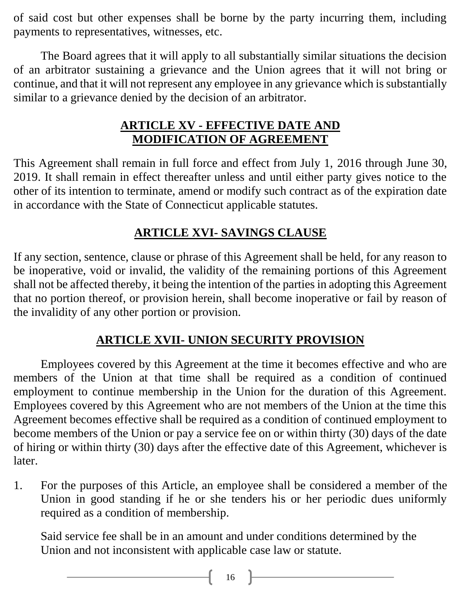of said cost but other expenses shall be borne by the party incurring them, including payments to representatives, witnesses, etc.

The Board agrees that it will apply to all substantially similar situations the decision of an arbitrator sustaining a grievance and the Union agrees that it will not bring or continue, and that it will not represent any employee in any grievance which is substantially similar to a grievance denied by the decision of an arbitrator.

## **ARTICLE XV - EFFECTIVE DATE AND MODIFICATION OF AGREEMENT**

This Agreement shall remain in full force and effect from July 1, 2016 through June 30, 2019. It shall remain in effect thereafter unless and until either party gives notice to the other of its intention to terminate, amend or modify such contract as of the expiration date in accordance with the State of Connecticut applicable statutes.

## **ARTICLE XVI- SAVINGS CLAUSE**

If any section, sentence, clause or phrase of this Agreement shall be held, for any reason to be inoperative, void or invalid, the validity of the remaining portions of this Agreement shall not be affected thereby, it being the intention of the parties in adopting this Agreement that no portion thereof, or provision herein, shall become inoperative or fail by reason of the invalidity of any other portion or provision.

## **ARTICLE XVII- UNION SECURITY PROVISION**

Employees covered by this Agreement at the time it becomes effective and who are members of the Union at that time shall be required as a condition of continued employment to continue membership in the Union for the duration of this Agreement. Employees covered by this Agreement who are not members of the Union at the time this Agreement becomes effective shall be required as a condition of continued employment to become members of the Union or pay a service fee on or within thirty (30) days of the date of hiring or within thirty (30) days after the effective date of this Agreement, whichever is later.

1. For the purposes of this Article, an employee shall be considered a member of the Union in good standing if he or she tenders his or her periodic dues uniformly required as a condition of membership.

Said service fee shall be in an amount and under conditions determined by the Union and not inconsistent with applicable case law or statute.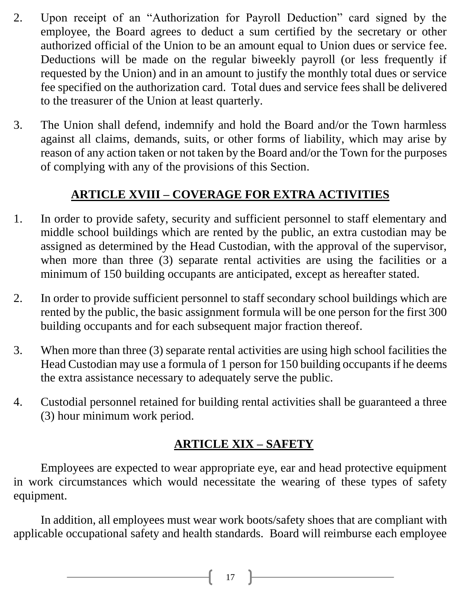- 2. Upon receipt of an "Authorization for Payroll Deduction" card signed by the employee, the Board agrees to deduct a sum certified by the secretary or other authorized official of the Union to be an amount equal to Union dues or service fee. Deductions will be made on the regular biweekly payroll (or less frequently if requested by the Union) and in an amount to justify the monthly total dues or service fee specified on the authorization card. Total dues and service fees shall be delivered to the treasurer of the Union at least quarterly.
- 3. The Union shall defend, indemnify and hold the Board and/or the Town harmless against all claims, demands, suits, or other forms of liability, which may arise by reason of any action taken or not taken by the Board and/or the Town for the purposes of complying with any of the provisions of this Section.

## **ARTICLE XVIII – COVERAGE FOR EXTRA ACTIVITIES**

- 1. In order to provide safety, security and sufficient personnel to staff elementary and middle school buildings which are rented by the public, an extra custodian may be assigned as determined by the Head Custodian, with the approval of the supervisor, when more than three (3) separate rental activities are using the facilities or a minimum of 150 building occupants are anticipated, except as hereafter stated.
- 2. In order to provide sufficient personnel to staff secondary school buildings which are rented by the public, the basic assignment formula will be one person for the first 300 building occupants and for each subsequent major fraction thereof.
- 3. When more than three (3) separate rental activities are using high school facilities the Head Custodian may use a formula of 1 person for 150 building occupants if he deems the extra assistance necessary to adequately serve the public.
- 4. Custodial personnel retained for building rental activities shall be guaranteed a three (3) hour minimum work period.

## **ARTICLE XIX – SAFETY**

Employees are expected to wear appropriate eye, ear and head protective equipment in work circumstances which would necessitate the wearing of these types of safety equipment.

In addition, all employees must wear work boots/safety shoes that are compliant with applicable occupational safety and health standards. Board will reimburse each employee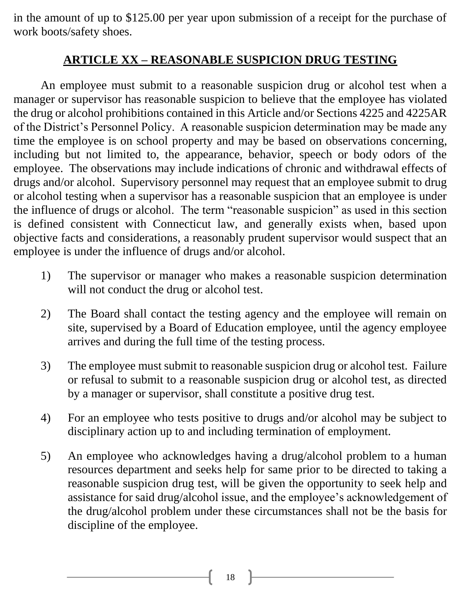in the amount of up to \$125.00 per year upon submission of a receipt for the purchase of work boots/safety shoes.

#### **ARTICLE XX – REASONABLE SUSPICION DRUG TESTING**

An employee must submit to a reasonable suspicion drug or alcohol test when a manager or supervisor has reasonable suspicion to believe that the employee has violated the drug or alcohol prohibitions contained in this Article and/or Sections 4225 and 4225AR of the District's Personnel Policy. A reasonable suspicion determination may be made any time the employee is on school property and may be based on observations concerning, including but not limited to, the appearance, behavior, speech or body odors of the employee. The observations may include indications of chronic and withdrawal effects of drugs and/or alcohol. Supervisory personnel may request that an employee submit to drug or alcohol testing when a supervisor has a reasonable suspicion that an employee is under the influence of drugs or alcohol. The term "reasonable suspicion" as used in this section is defined consistent with Connecticut law, and generally exists when, based upon objective facts and considerations, a reasonably prudent supervisor would suspect that an employee is under the influence of drugs and/or alcohol.

- 1) The supervisor or manager who makes a reasonable suspicion determination will not conduct the drug or alcohol test.
- 2) The Board shall contact the testing agency and the employee will remain on site, supervised by a Board of Education employee, until the agency employee arrives and during the full time of the testing process.
- 3) The employee must submit to reasonable suspicion drug or alcohol test. Failure or refusal to submit to a reasonable suspicion drug or alcohol test, as directed by a manager or supervisor, shall constitute a positive drug test.
- 4) For an employee who tests positive to drugs and/or alcohol may be subject to disciplinary action up to and including termination of employment.
- 5) An employee who acknowledges having a drug/alcohol problem to a human resources department and seeks help for same prior to be directed to taking a reasonable suspicion drug test, will be given the opportunity to seek help and assistance for said drug/alcohol issue, and the employee's acknowledgement of the drug/alcohol problem under these circumstances shall not be the basis for discipline of the employee.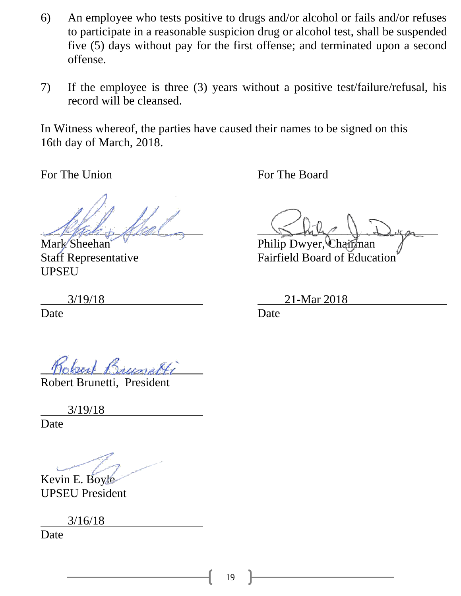- 6) An employee who tests positive to drugs and/or alcohol or fails and/or refuses to participate in a reasonable suspicion drug or alcohol test, shall be suspended five (5) days without pay for the first offense; and terminated upon a second offense.
- 7) If the employee is three (3) years without a positive test/failure/refusal, his record will be cleansed.

In Witness whereof, the parties have caused their names to be signed on this 16th day of March, 2018.

For The Union For The Board

UPSEU

Date **Date** Date **Date** 

 $Misho$   $Mini$ 

Mark Sheehan Philip Dwyer, Chairman<br>Staff Representative Fairfield Board of Educa Fairfield Board of Education<sup>'</sup>

3/19/18 21-Mar 2018

**\_\_\_\_\_\_\_\_\_\_\_\_\_\_\_\_\_\_\_\_\_\_\_\_\_\_\_**

Robert Brunetti, President

3/19/18

Date

Kevin E. Boyle UPSEU President

3/16/18

Date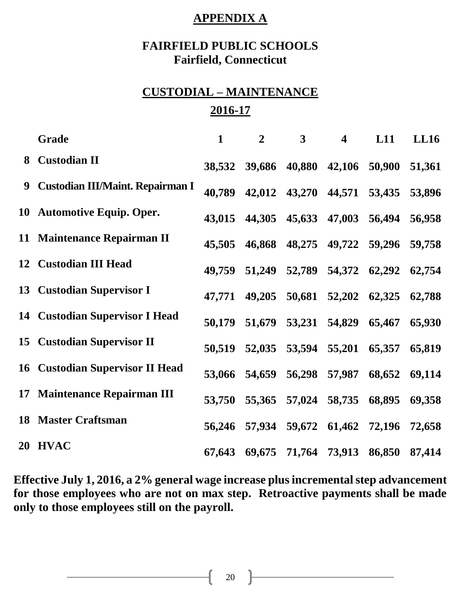#### **APPENDIX A**

#### **FAIRFIELD PUBLIC SCHOOLS Fairfield, Connecticut**

## **CUSTODIAL – MAINTENANCE 2016-17**

|   | <b>Grade</b>                            | $\mathbf{1}$ | $\overline{2}$ | $\mathbf{3}$         | $\overline{\mathbf{4}}$ | L11    | LL16   |
|---|-----------------------------------------|--------------|----------------|----------------------|-------------------------|--------|--------|
|   | 8 Custodian II                          | 38,532       |                | 39,686 40,880        | 42,106                  | 50,900 | 51,361 |
| 9 | <b>Custodian III/Maint. Repairman I</b> | 40,789       |                | 42,012 43,270 44,571 |                         | 53,435 | 53,896 |
|   | 10 Automotive Equip. Oper.              | 43,015       |                | 44,305 45,633 47,003 |                         | 56,494 | 56,958 |
|   | 11 Maintenance Repairman II             | 45,505       |                | 46,868 48,275        | 49,722                  | 59,296 | 59,758 |
|   | 12 Custodian III Head                   | 49,759       | 51,249         | 52,789 54,372        |                         | 62,292 | 62,754 |
|   | 13 Custodian Supervisor I               | 47,771       |                | 49,205 50,681 52,202 |                         | 62,325 | 62,788 |
|   | <b>14 Custodian Supervisor I Head</b>   | 50,179       |                | 51,679 53,231        | 54,829                  | 65,467 | 65,930 |
|   | <b>15 Custodian Supervisor II</b>       | 50,519       |                | 52,035 53,594        | 55,201                  | 65,357 | 65,819 |
|   | <b>16 Custodian Supervisor II Head</b>  |              | 53,066 54,659  |                      | 56,298 57,987           | 68,652 | 69,114 |
|   | 17 Maintenance Repairman III            | 53,750       |                | 55,365 57,024        | 58,735                  | 68,895 | 69,358 |
|   | <b>18 Master Craftsman</b>              | 56,246       |                | 57,934 59,672 61,462 |                         | 72,196 | 72,658 |
|   | 20 HVAC                                 | 67,643       |                | 69,675 71,764 73,913 |                         | 86,850 | 87,414 |

**Effective July 1, 2016, a 2% general wage increase plus incremental step advancement for those employees who are not on max step. Retroactive payments shall be made only to those employees still on the payroll.**

 $20 \quad \blacksquare$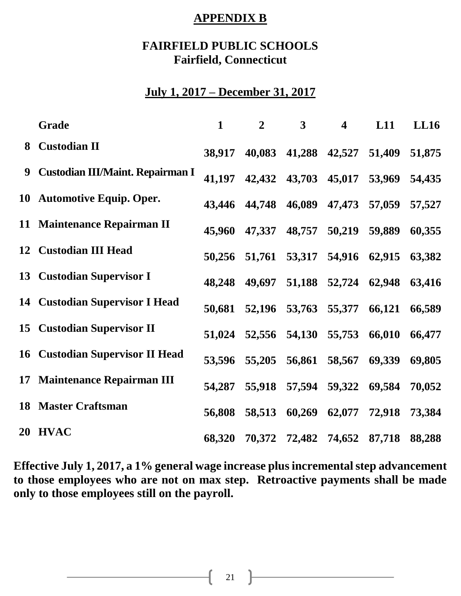#### **APPENDIX B**

#### **FAIRFIELD PUBLIC SCHOOLS Fairfield, Connecticut**

### **July 1, 2017 – December 31, 2017**

|   | Grade                                   | $\mathbf{1}$ | $\overline{2}$ | $\mathbf{3}$         | $\overline{\mathbf{4}}$ | L11    | LL16   |
|---|-----------------------------------------|--------------|----------------|----------------------|-------------------------|--------|--------|
|   | 8 Custodian II                          | 38,917       |                | 40,083 41,288 42,527 |                         | 51,409 | 51,875 |
| 9 | <b>Custodian III/Maint. Repairman I</b> | 41,197       |                | 42,432 43,703 45,017 |                         | 53,969 | 54,435 |
|   | 10 Automotive Equip. Oper.              | 43,446       |                | 44,748 46,089        | 47,473                  | 57,059 | 57,527 |
|   | 11 Maintenance Repairman II             | 45,960       | 47,337         | 48,757               | 50,219                  | 59,889 | 60,355 |
|   | 12 Custodian III Head                   | 50,256       |                | 51,761 53,317 54,916 |                         | 62,915 | 63,382 |
|   | 13 Custodian Supervisor I               | 48,248       | 49,697         |                      | 51,188 52,724           | 62,948 | 63,416 |
|   | <b>14 Custodian Supervisor I Head</b>   | 50,681       |                | 52,196 53,763        | 55,377                  | 66,121 | 66,589 |
|   | <b>15 Custodian Supervisor II</b>       | 51,024       |                | 52,556 54,130        | 55,753                  | 66,010 | 66,477 |
|   | <b>16 Custodian Supervisor II Head</b>  | 53,596       | 55,205         | 56,861               | 58,567                  | 69,339 | 69,805 |
|   | 17 Maintenance Repairman III            | 54,287       |                | 55,918 57,594        | 59,322                  | 69,584 | 70,052 |
|   | <b>18 Master Craftsman</b>              | 56,808       | 58,513         | 60,269               | 62,077                  | 72,918 | 73,384 |
|   | 20 HVAC                                 | 68,320       |                | 70,372 72,482 74,652 |                         | 87,718 | 88,288 |

**Effective July 1, 2017, a 1% general wage increase plus incremental step advancement to those employees who are not on max step. Retroactive payments shall be made only to those employees still on the payroll.**

21  $\uparrow$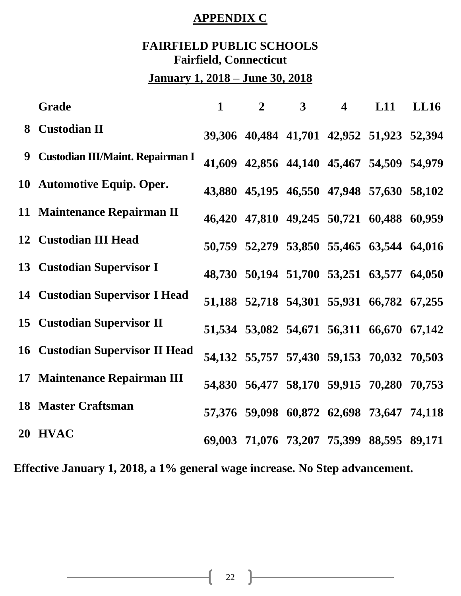## **APPENDIX C**

## **FAIRFIELD PUBLIC SCHOOLS Fairfield, Connecticut**

## **January 1, 2018 – June 30, 2018**

|   | <b>Grade</b>                            | $\mathbf{1}$ | $\overline{2}$ | 3 <sup>1</sup> | $\overline{\mathbf{4}}$ | L11                                       | <b>LL16</b> |
|---|-----------------------------------------|--------------|----------------|----------------|-------------------------|-------------------------------------------|-------------|
|   | 8 Custodian II                          |              |                |                |                         | 39,306 40,484 41,701 42,952 51,923 52,394 |             |
| 9 | <b>Custodian III/Maint. Repairman I</b> |              |                |                |                         | 41,609 42,856 44,140 45,467 54,509 54,979 |             |
|   | 10 Automotive Equip. Oper.              |              |                |                |                         | 43,880 45,195 46,550 47,948 57,630 58,102 |             |
|   | 11 Maintenance Repairman II             |              |                |                |                         | 46,420 47,810 49,245 50,721 60,488 60,959 |             |
|   | 12 Custodian III Head                   |              |                |                |                         | 50,759 52,279 53,850 55,465 63,544 64,016 |             |
|   | 13 Custodian Supervisor I               |              |                |                |                         | 48,730 50,194 51,700 53,251 63,577 64,050 |             |
|   | <b>14 Custodian Supervisor I Head</b>   |              |                |                |                         | 51,188 52,718 54,301 55,931 66,782 67,255 |             |
|   | <b>15 Custodian Supervisor II</b>       |              |                |                |                         | 51,534 53,082 54,671 56,311 66,670 67,142 |             |
|   | <b>16 Custodian Supervisor II Head</b>  |              |                |                |                         | 54,132 55,757 57,430 59,153 70,032 70,503 |             |
|   | 17 Maintenance Repairman III            |              |                |                |                         | 54,830 56,477 58,170 59,915 70,280 70,753 |             |
|   | <b>18 Master Craftsman</b>              |              |                |                |                         | 57,376 59,098 60,872 62,698 73,647 74,118 |             |
|   | 20 HVAC                                 |              |                |                |                         | 69,003 71,076 73,207 75,399 88,595 89,171 |             |

**Effective January 1, 2018, a 1% general wage increase. No Step advancement.**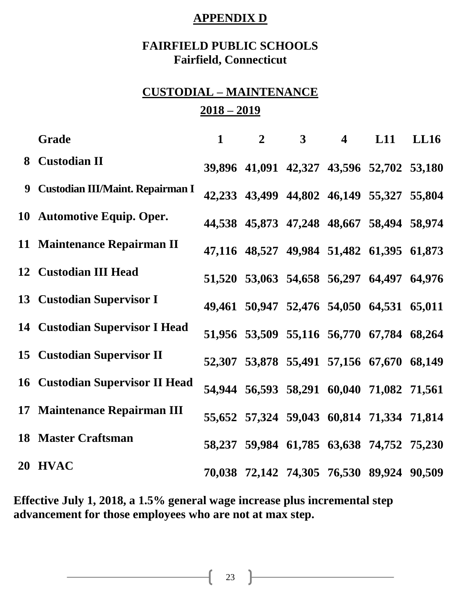#### **APPENDIX D**

#### **FAIRFIELD PUBLIC SCHOOLS Fairfield, Connecticut**

## **CUSTODIAL – MAINTENANCE 2018 – 2019**

| <b>Grade</b>                           | $\mathbf{1}$ | $\overline{2}$                            | 3 <sup>1</sup> | $\overline{\mathbf{4}}$ | L11 | <b>LL16</b> |
|----------------------------------------|--------------|-------------------------------------------|----------------|-------------------------|-----|-------------|
| 8 Custodian II                         |              | 39,896 41,091 42,327 43,596 52,702 53,180 |                |                         |     |             |
| 9 Custodian III/Maint. Repairman I     |              | 42,233 43,499 44,802 46,149 55,327 55,804 |                |                         |     |             |
| 10 Automotive Equip. Oper.             |              | 44,538 45,873 47,248 48,667 58,494 58,974 |                |                         |     |             |
| 11 Maintenance Repairman II            |              | 47,116 48,527 49,984 51,482 61,395 61,873 |                |                         |     |             |
| 12 Custodian III Head                  |              | 51,520 53,063 54,658 56,297 64,497 64,976 |                |                         |     |             |
| 13 Custodian Supervisor I              |              | 49,461 50,947 52,476 54,050 64,531 65,011 |                |                         |     |             |
| <b>14 Custodian Supervisor I Head</b>  |              | 51,956 53,509 55,116 56,770 67,784 68,264 |                |                         |     |             |
| 15 Custodian Supervisor II             |              | 52,307 53,878 55,491 57,156 67,670 68,149 |                |                         |     |             |
| <b>16 Custodian Supervisor II Head</b> |              | 54,944 56,593 58,291 60,040 71,082 71,561 |                |                         |     |             |
| 17 Maintenance Repairman III           |              | 55,652 57,324 59,043 60,814 71,334 71,814 |                |                         |     |             |
| <b>18 Master Craftsman</b>             |              | 58,237 59,984 61,785 63,638 74,752 75,230 |                |                         |     |             |
| 20 HVAC                                |              | 70,038 72,142 74,305 76,530 89,924 90,509 |                |                         |     |             |

**Effective July 1, 2018, a 1.5% general wage increase plus incremental step advancement for those employees who are not at max step.**

 $\begin{bmatrix} 23 \end{bmatrix}$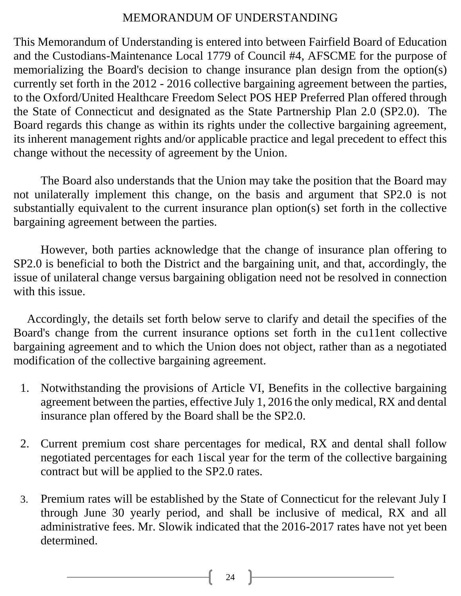#### MEMORANDUM OF UNDERSTANDING

This Memorandum of Understanding is entered into between Fairfield Board of Education and the Custodians-Maintenance Local 1779 of Council #4, AFSCME for the purpose of memorializing the Board's decision to change insurance plan design from the option(s) currently set forth in the 2012 - 2016 collective bargaining agreement between the parties, to the Oxford/United Healthcare Freedom Select POS HEP Preferred Plan offered through the State of Connecticut and designated as the State Partnership Plan 2.0 (SP2.0). The Board regards this change as within its rights under the collective bargaining agreement, its inherent management rights and/or applicable practice and legal precedent to effect this change without the necessity of agreement by the Union.

The Board also understands that the Union may take the position that the Board may not unilaterally implement this change, on the basis and argument that SP2.0 is not substantially equivalent to the current insurance plan option(s) set forth in the collective bargaining agreement between the parties.

However, both parties acknowledge that the change of insurance plan offering to SP2.0 is beneficial to both the District and the bargaining unit, and that, accordingly, the issue of unilateral change versus bargaining obligation need not be resolved in connection with this issue.

Accordingly, the details set forth below serve to clarify and detail the specifies of the Board's change from the current insurance options set forth in the cu11ent collective bargaining agreement and to which the Union does not object, rather than as a negotiated modification of the collective bargaining agreement.

- 1. Notwithstanding the provisions of Article VI, Benefits in the collective bargaining agreement between the parties, effective July 1, 2016 the only medical, RX and dental insurance plan offered by the Board shall be the SP2.0.
- 2. Current premium cost share percentages for medical, RX and dental shall follow negotiated percentages for each 1iscal year for the term of the collective bargaining contract but will be applied to the SP2.0 rates.
- 3. Premium rates will be established by the State of Connecticut for the relevant July I through June 30 yearly period, and shall be inclusive of medical, RX and all administrative fees. Mr. Slowik indicated that the 2016-2017 rates have not yet been determined.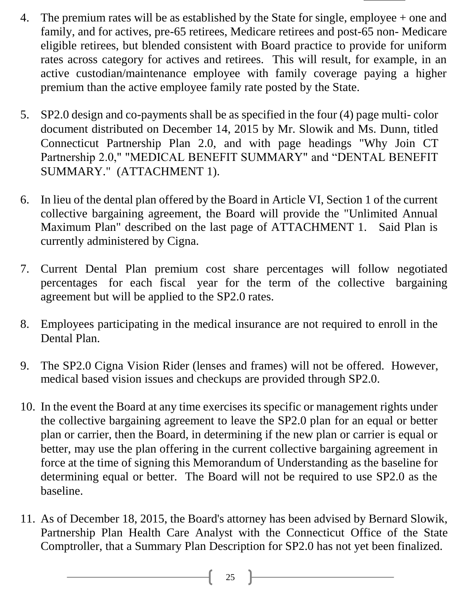- 4. The premium rates will be as established by the State for single, employee + one and family, and for actives, pre-65 retirees, Medicare retirees and post-65 non- Medicare eligible retirees, but blended consistent with Board practice to provide for uniform rates across category for actives and retirees. This will result, for example, in an active custodian/maintenance employee with family coverage paying a higher premium than the active employee family rate posted by the State.
- 5. SP2.0 design and co-payments shall be as specified in the four (4) page multi- color document distributed on December 14, 2015 by Mr. Slowik and Ms. Dunn, titled Connecticut Partnership Plan 2.0, and with page headings "Why Join CT Partnership 2.0," "MEDICAL BENEFIT SUMMARY" and "DENTAL BENEFIT SUMMARY." (ATTACHMENT 1).
- 6. In lieu of the dental plan offered by the Board in Article VI, Section 1 of the current collective bargaining agreement, the Board will provide the "Unlimited Annual Maximum Plan" described on the last page of ATTACHMENT 1. Said Plan is currently administered by Cigna.
- 7. Current Dental Plan premium cost share percentages will follow negotiated percentages for each fiscal year for the term of the collective bargaining agreement but will be applied to the SP2.0 rates.
- 8. Employees participating in the medical insurance are not required to enroll in the Dental Plan.
- 9. The SP2.0 Cigna Vision Rider (lenses and frames) will not be offered. However, medical based vision issues and checkups are provided through SP2.0.
- 10. In the event the Board at any time exercises its specific or management rights under the collective bargaining agreement to leave the SP2.0 plan for an equal or better plan or carrier, then the Board, in determining if the new plan or carrier is equal or better, may use the plan offering in the current collective bargaining agreement in force at the time of signing this Memorandum of Understanding as the baseline for determining equal or better. The Board will not be required to use SP2.0 as the baseline.
- 11. As of December 18, 2015, the Board's attorney has been advised by Bernard Slowik, Partnership Plan Health Care Analyst with the Connecticut Office of the State Comptroller, that a Summary Plan Description for SP2.0 has not yet been finalized.